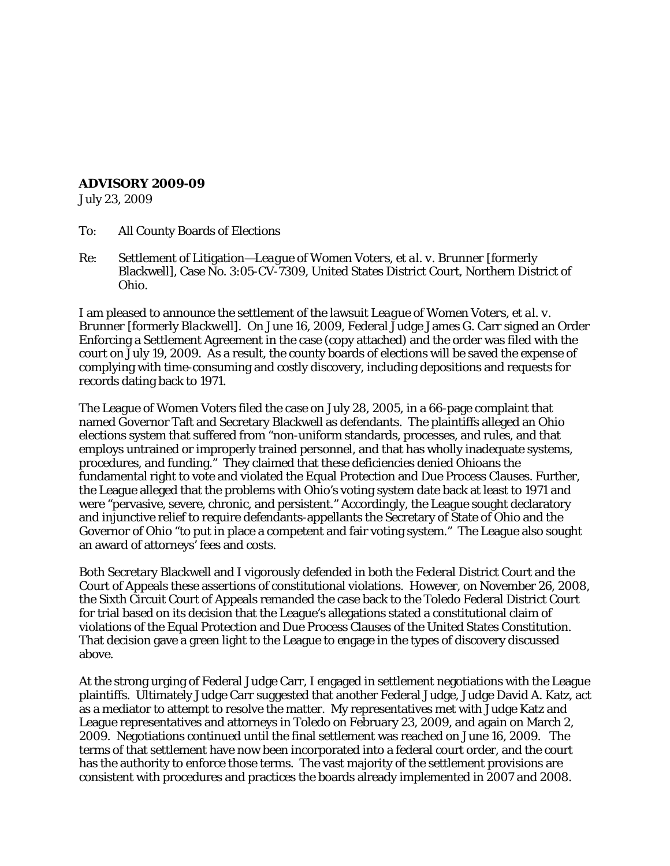## **ADVISORY 2009-09**

July 23, 2009

- To: All County Boards of Elections
- Re: Settlement of Litigation—*League of Women Voters, et al. v. Brunner* [formerly Blackwell], Case No. 3:05-CV-7309, United States District Court, Northern District of Ohio.

I am pleased to announce the settlement of the lawsuit *League of Women Voters, et al. v. Brunner* [formerly *Blackwell*]. On June 16, 2009, Federal Judge James G. Carr signed an Order Enforcing a Settlement Agreement in the case (copy attached) and the order was filed with the court on July 19, 2009. As a result, the county boards of elections will be saved the expense of complying with time-consuming and costly discovery, including depositions and requests for records dating back to 1971.

The League of Women Voters filed the case on July 28, 2005, in a 66-page complaint that named Governor Taft and Secretary Blackwell as defendants. The plaintiffs alleged an Ohio elections system that suffered from "non-uniform standards, processes, and rules, and that employs untrained or improperly trained personnel, and that has wholly inadequate systems, procedures, and funding." They claimed that these deficiencies denied Ohioans the fundamental right to vote and violated the Equal Protection and Due Process Clauses. Further, the League alleged that the problems with Ohio's voting system date back at least to 1971 and were "pervasive, severe, chronic, and persistent." Accordingly, the League sought declaratory and injunctive relief to require defendants-appellants the Secretary of State of Ohio and the Governor of Ohio "to put in place a competent and fair voting system." The League also sought an award of attorneys' fees and costs.

Both Secretary Blackwell and I vigorously defended in both the Federal District Court and the Court of Appeals these assertions of constitutional violations. However, on November 26, 2008, the Sixth Circuit Court of Appeals remanded the case back to the Toledo Federal District Court for trial based on its decision that the League's allegations stated a constitutional claim of violations of the Equal Protection and Due Process Clauses of the United States Constitution. That decision gave a green light to the League to engage in the types of discovery discussed above.

At the strong urging of Federal Judge Carr, I engaged in settlement negotiations with the League plaintiffs. Ultimately Judge Carr suggested that another Federal Judge, Judge David A. Katz, act as a mediator to attempt to resolve the matter. My representatives met with Judge Katz and League representatives and attorneys in Toledo on February 23, 2009, and again on March 2, 2009. Negotiations continued until the final settlement was reached on June 16, 2009. The terms of that settlement have now been incorporated into a federal court order, and the court has the authority to enforce those terms. The vast majority of the settlement provisions are consistent with procedures and practices the boards already implemented in 2007 and 2008.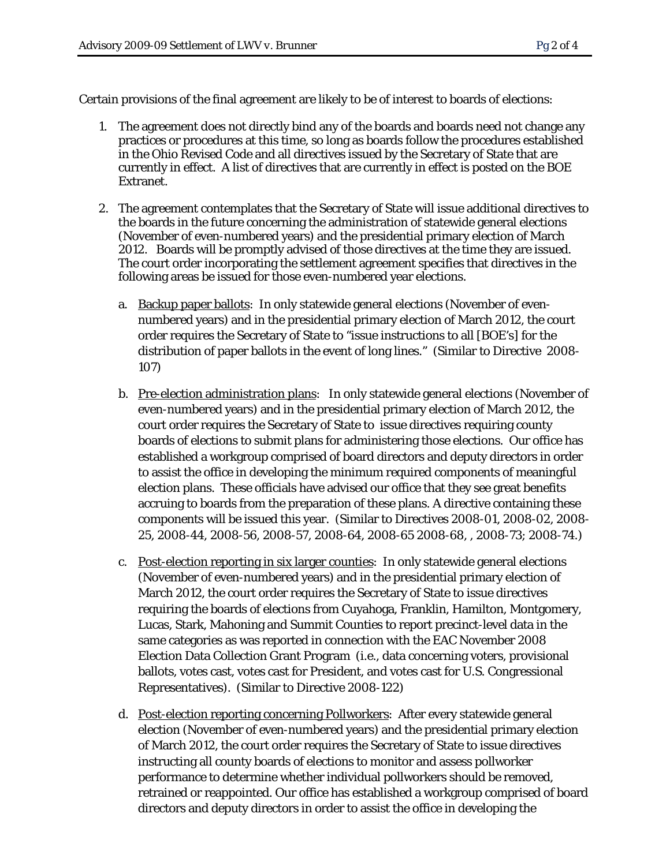Certain provisions of the final agreement are likely to be of interest to boards of elections:

- 1. The agreement does not directly bind any of the boards and boards need not change any practices or procedures at this time, so long as boards follow the procedures established in the Ohio Revised Code and all directives issued by the Secretary of State that are currently in effect. A list of directives that are currently in effect is posted on the BOE Extranet.
- 2. The agreement contemplates that the Secretary of State will issue additional directives to the boards in the future concerning the administration of statewide general elections (November of even-numbered years) and the presidential primary election of March 2012. Boards will be promptly advised of those directives at the time they are issued. The court order incorporating the settlement agreement specifies that directives in the following areas be issued for those even-numbered year elections.
	- a. Backup paper ballots: In only statewide general elections (November of evennumbered years) and in the presidential primary election of March 2012, the court order requires the Secretary of State to "issue instructions to all [BOE's] for the distribution of paper ballots in the event of long lines." (Similar to Directive 2008- 107)
	- b. Pre-election administration plans: In only statewide general elections (November of even-numbered years) and in the presidential primary election of March 2012, the court order requires the Secretary of State to issue directives requiring county boards of elections to submit plans for administering those elections. Our office has established a workgroup comprised of board directors and deputy directors in order to assist the office in developing the minimum required components of meaningful election plans. These officials have advised our office that they see great benefits accruing to boards from the preparation of these plans. A directive containing these components will be issued this year. (Similar to Directives 2008-01, 2008-02, 2008- 25, 2008-44, 2008-56, 2008-57, 2008-64, 2008-65 2008-68, , 2008-73; 2008-74.)
	- c. Post-election reporting in six larger counties: In only statewide general elections (November of even-numbered years) and in the presidential primary election of March 2012, the court order requires the Secretary of State to issue directives requiring the boards of elections from Cuyahoga, Franklin, Hamilton, Montgomery, Lucas, Stark, Mahoning and Summit Counties to report precinct-level data in the same categories as was reported in connection with the EAC November 2008 Election Data Collection Grant Program (i.e., data concerning voters, provisional ballots, votes cast, votes cast for President, and votes cast for U.S. Congressional Representatives). (Similar to Directive 2008-122)
	- d. Post-election reporting concerning Pollworkers: After every statewide general election (November of even-numbered years) and the presidential primary election of March 2012, the court order requires the Secretary of State to issue directives instructing all county boards of elections to monitor and assess pollworker performance to determine whether individual pollworkers should be removed, retrained or reappointed. Our office has established a workgroup comprised of board directors and deputy directors in order to assist the office in developing the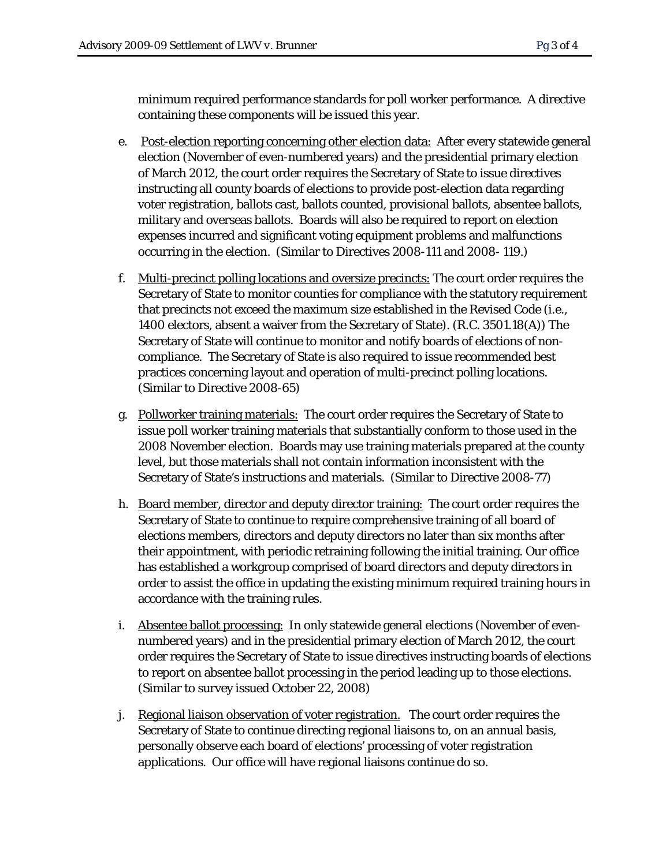minimum required performance standards for poll worker performance. A directive containing these components will be issued this year.

- e. Post-election reporting concerning other election data: After every statewide general election (November of even-numbered years) and the presidential primary election of March 2012, the court order requires the Secretary of State to issue directives instructing all county boards of elections to provide post-election data regarding voter registration, ballots cast, ballots counted, provisional ballots, absentee ballots, military and overseas ballots. Boards will also be required to report on election expenses incurred and significant voting equipment problems and malfunctions occurring in the election. (Similar to Directives 2008-111 and 2008- 119.)
- f. Multi-precinct polling locations and oversize precincts: The court order requires the Secretary of State to monitor counties for compliance with the statutory requirement that precincts not exceed the maximum size established in the Revised Code (i.e., 1400 electors, absent a waiver from the Secretary of State). (R.C. 3501.18(A)) The Secretary of State will continue to monitor and notify boards of elections of noncompliance. The Secretary of State is also required to issue recommended best practices concerning layout and operation of multi-precinct polling locations. (Similar to Directive 2008-65)
- g. Pollworker training materials: The court order requires the Secretary of State to issue poll worker training materials that substantially conform to those used in the 2008 November election. Boards may use training materials prepared at the county level, but those materials shall not contain information inconsistent with the Secretary of State's instructions and materials. (Similar to Directive 2008-77)
- h. Board member, director and deputy director training: The court order requires the Secretary of State to continue to require comprehensive training of all board of elections members, directors and deputy directors no later than six months after their appointment, with periodic retraining following the initial training. Our office has established a workgroup comprised of board directors and deputy directors in order to assist the office in updating the existing minimum required training hours in accordance with the training rules.
- i. Absentee ballot processing: In only statewide general elections (November of evennumbered years) and in the presidential primary election of March 2012, the court order requires the Secretary of State to issue directives instructing boards of elections to report on absentee ballot processing in the period leading up to those elections. (Similar to survey issued October 22, 2008)
- j. Regional liaison observation of voter registration. The court order requires the Secretary of State to continue directing regional liaisons to, on an annual basis, personally observe each board of elections' processing of voter registration applications. Our office will have regional liaisons continue do so.